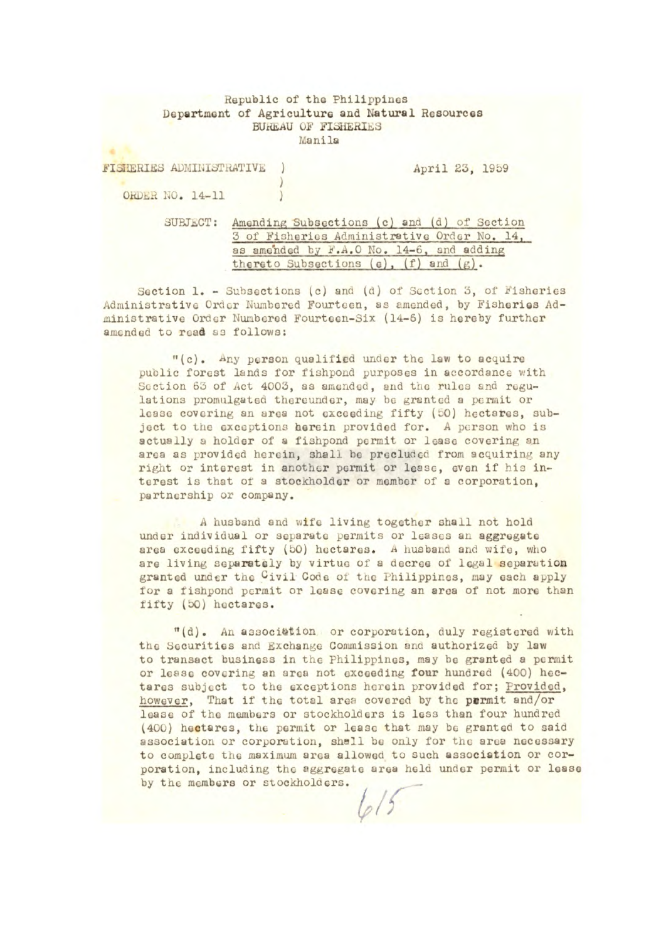## Republic of the Philippines Department of Agriculture and Natural Resources **BUREAU OF FISHERIES** Manila

| FISHERIES ADMINISTRATIVE |          |  |                                                                                            |  |  |  | April 23, 1959 |  |
|--------------------------|----------|--|--------------------------------------------------------------------------------------------|--|--|--|----------------|--|
| ORDER NO. 14-11          |          |  |                                                                                            |  |  |  |                |  |
|                          | SUBJECT: |  | Amending Subsections (c) and (d) of Section<br>3 of Fisheries Administrative Order No. 14, |  |  |  |                |  |

thereto Subsections  $(e)$ ,  $(f)$  and  $(g)$ . Section 1. - Subsections (c) and (d) of Section 3, of Fisheries Administrative Oracr Nunbored Fourtccn, as amended, by Fisheries Ad-

ministrative Order Nunberod Fourteen-Six (14-6) is hereby further

amended to read as follows:

as amended by F.A.O No. 14-6, and adding

"(c). Any person qualified under the law to acquire public forest lands for fishpond purposes in accordance with Section 63 of Act 4003, as amended, and the rules and regulations promulgated thereunder, may be granted a permit or lease covering an area not exceeding fifty (50) hectares, subject to the exceptions herein provided for. A person who is actually a holder of a fishpond permit or lease covering an area as provided herein, shall be precluded from acquiring any right or interest in another permit or lease, even if his interest is that of a stockholder or member of a corporation, partnership or company.

A husband and wife living together shall not hold under individual or separate permits or leases an aggregate area exceeding fifty (50) hectares. A husband and wife, who are living separately by virtue of a decree of legal separation granted under the Civil Code of the Philippines, may each apply for a fishpond permit or lease covering an area of not more than fifty (50) hectares.

"(d). An association or corporation, duly registered with the Securities and Exchange Commission and authorized by law to transact business in the Philippines, may he granted a permit or lease covering an area not exceeding four hundred (400) hectares subject to the exceptions herein provided for; Provided, however, That If the total area covered by the permit and/or lease of the members or stockholders is less than four hundred (400) hectares, the permit or lease that may be granted to said association or corporation, shell be only for the area necessary to complete the maximum area allowed to such association or corporation, including the aggregate area held under permit or lease by the members or stockholders.

 $\frac{1}{2}$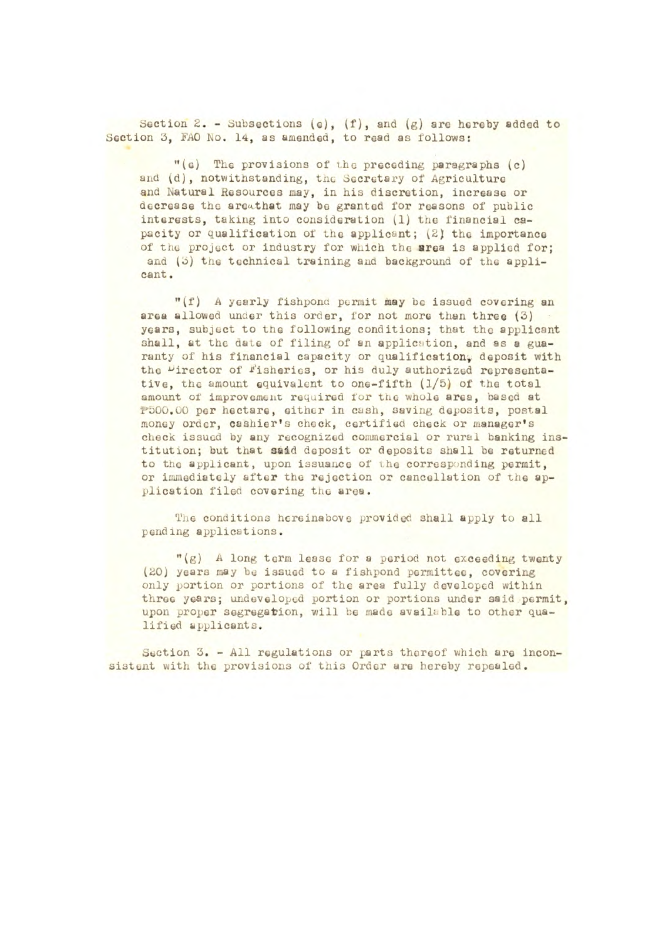Section 2. - Subsections (e), (f), and *(g)* are hereby added to Section 3, FAO No. 14, as amended, to read as follows:

"(c) The provisions of the preceding paragraphs (c) and (d), notwithstanding, the Secretary of Agriculture and Natural Resources may, in his discretion, increase or decrease the areathat may be granted for reasons of public interests, taking into consideration (1) the financial capacity or qualification *01* tho applicant; (2) the importance of the project or industry for which the area is applied for; and (3) the technical training and background of the applicant.

"(f) A yearly fishpond permit may bc issued covering **an**  area allowed under this order, for not more than three  $(3)$ years, subject to *the* following conditions; that the applicant shall, at the date of filing of an application, and as a guaranty of his financial capacity or qualification, deposit with the "irector of Fisheries, or his duly authorized representative, the amount equivalent to one-fifth (1/5) of the total amount of improvement required for the whole area, based at P500.00 per hectare, either in cash, saving deposits, postal money order, cashier's chock, certified check or manager's check issued by any recognized commercial or rural banking institution; but that **said** deposit or deposits shall be returned to the applicant, upon issuance of the corresponding permit, or immediately after the rejection or cancellation of the application filed covering the area.

The conditions hereinabove provided shall apply to all pending applications.

"(g) A long term lease for a period not exceeding twenty (20) years may bc issued to a fishpond pormittoc, covering only portion or portions of the area fully developed within three years; undeveloped portion or portions under said permit, upon proper segregation, will be made available to other qualified applicants.

Section 3. - All regulations or parts thereof which are inconsistent with the provisions of this Order are hereby repealed.